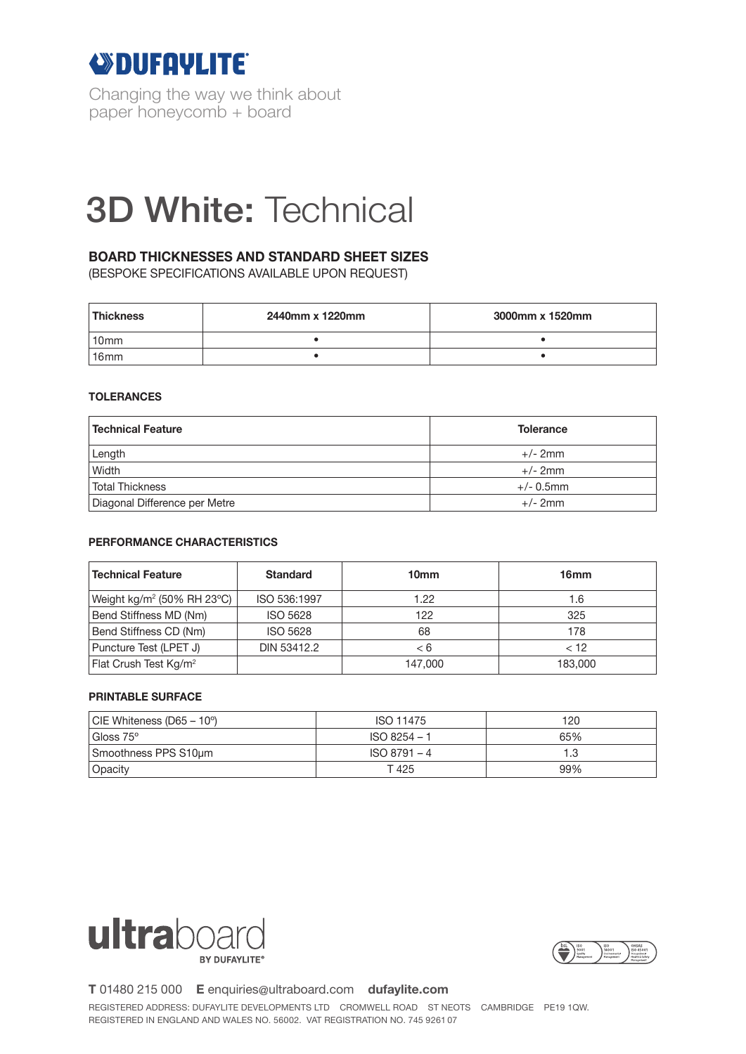

Changing the way we think about paper honeycomb + board

# 3D White: Technical

## **BOARD THICKNESSES AND STANDARD SHEET SIZES**

(BESPOKE SPECIFICATIONS AVAILABLE UPON REQUEST)

| <b>Thickness</b> | 2440mm x 1220mm | 3000mm x 1520mm |  |
|------------------|-----------------|-----------------|--|
| 10mm             |                 |                 |  |
| 16 <sub>mm</sub> |                 |                 |  |

#### **TOLERANCES**

| <b>Technical Feature</b>      | <b>Tolerance</b> |  |
|-------------------------------|------------------|--|
| Length                        | $+/- 2mm$        |  |
| Width                         | $+/- 2mm$        |  |
| <b>Total Thickness</b>        | $+/- 0.5$ mm     |  |
| Diagonal Difference per Metre | $+/- 2mm$        |  |

### **PERFORMANCE CHARACTERISTICS**

| <b>Technical Feature</b>                          | <b>Standard</b> | 10 <sub>mm</sub> | 16 <sub>mm</sub> |
|---------------------------------------------------|-----------------|------------------|------------------|
| Weight kg/m <sup>2</sup> (50% RH 23 $^{\circ}$ C) | ISO 536:1997    | 1.22             | 1.6              |
| Bend Stiffness MD (Nm)                            | <b>ISO 5628</b> | 122              | 325              |
| Bend Stiffness CD (Nm)                            | <b>ISO 5628</b> | 68               | 178              |
| Puncture Test (LPET J)                            | DIN 53412.2     | < 6              | < 12             |
| Flat Crush Test Kg/m <sup>2</sup>                 |                 | 147.000          | 183,000          |

### **PRINTABLE SURFACE**

| CIE Whiteness (D65 – 10°) | <b>ISO 11475</b> | 120 |
|---------------------------|------------------|-----|
| Gloss 75°                 | ISO 8254 - 1     | 65% |
| Smoothness PPS S10um      | $ISO 8791 - 4$   |     |
| Opacity                   | T 425            | 99% |





**T** 01480 215 000 **E** enquiries@ultraboard.com **dufaylite.com**

REGISTERED ADDRESS: DUFAYLITE DEVELOPMENTS LTD CROMWELL ROAD ST NEOTS CAMBRIDGE PE19 1QW. REGISTERED IN ENGLAND AND WALES NO. 56002. VAT REGISTRATION NO. 745 9261 07